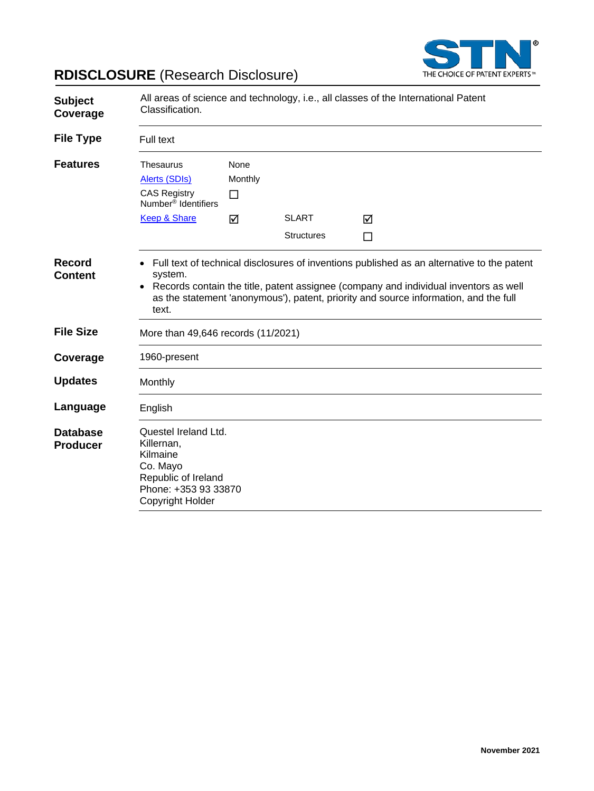

# **RDISCLOSURE** (Research Disclosure)

| <b>Subject</b><br>Coverage         | All areas of science and technology, i.e., all classes of the International Patent<br>Classification.                         |                      |                                   |                                                                                                                                                                                                                                                                            |
|------------------------------------|-------------------------------------------------------------------------------------------------------------------------------|----------------------|-----------------------------------|----------------------------------------------------------------------------------------------------------------------------------------------------------------------------------------------------------------------------------------------------------------------------|
| <b>File Type</b>                   | Full text                                                                                                                     |                      |                                   |                                                                                                                                                                                                                                                                            |
| <b>Features</b>                    | <b>Thesaurus</b><br>Alerts (SDIs)<br><b>CAS Registry</b><br>Number <sup>®</sup> Identifiers                                   | None<br>Monthly<br>□ |                                   |                                                                                                                                                                                                                                                                            |
|                                    | Keep & Share                                                                                                                  | ☑                    | <b>SLART</b><br><b>Structures</b> | ☑<br>П                                                                                                                                                                                                                                                                     |
| <b>Record</b><br><b>Content</b>    | system.<br>text.                                                                                                              |                      |                                   | Full text of technical disclosures of inventions published as an alternative to the patent<br>Records contain the title, patent assignee (company and individual inventors as well<br>as the statement 'anonymous'), patent, priority and source information, and the full |
| <b>File Size</b>                   | More than 49,646 records (11/2021)                                                                                            |                      |                                   |                                                                                                                                                                                                                                                                            |
| Coverage                           | 1960-present                                                                                                                  |                      |                                   |                                                                                                                                                                                                                                                                            |
| <b>Updates</b>                     | Monthly                                                                                                                       |                      |                                   |                                                                                                                                                                                                                                                                            |
| Language                           | English                                                                                                                       |                      |                                   |                                                                                                                                                                                                                                                                            |
| <b>Database</b><br><b>Producer</b> | Questel Ireland Ltd.<br>Killernan,<br>Kilmaine<br>Co. Mayo<br>Republic of Ireland<br>Phone: +353 93 33870<br>Copyright Holder |                      |                                   |                                                                                                                                                                                                                                                                            |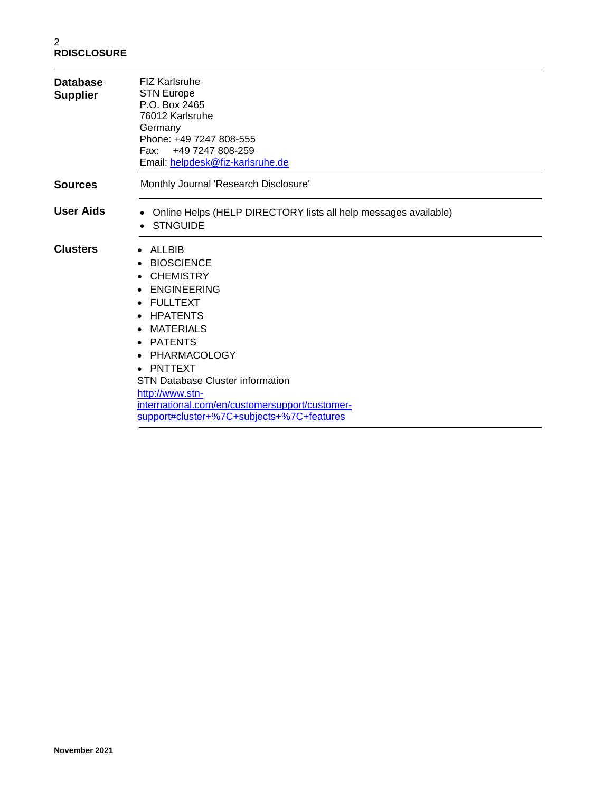| <b>Database</b><br><b>Supplier</b> | <b>FIZ Karlsruhe</b><br><b>STN Europe</b><br>P.O. Box 2465<br>76012 Karlsruhe<br>Germany<br>Phone: +49 7247 808-555<br>Fax: +49 7247 808-259<br>Email: helpdesk@fiz-karlsruhe.de                                                                                                                                                                         |
|------------------------------------|----------------------------------------------------------------------------------------------------------------------------------------------------------------------------------------------------------------------------------------------------------------------------------------------------------------------------------------------------------|
| <b>Sources</b>                     | Monthly Journal 'Research Disclosure'                                                                                                                                                                                                                                                                                                                    |
| <b>User Aids</b>                   | Online Helps (HELP DIRECTORY lists all help messages available)<br><b>STNGUIDE</b>                                                                                                                                                                                                                                                                       |
| <b>Clusters</b>                    | ALLBIB<br><b>BIOSCIENCE</b><br><b>CHEMISTRY</b><br><b>ENGINEERING</b><br><b>FULLTEXT</b><br><b>HPATENTS</b><br><b>MATERIALS</b><br><b>PATENTS</b><br>$\bullet$<br>PHARMACOLOGY<br>• PNTTEXT<br><b>STN Database Cluster information</b><br>http://www.stn-<br>international.com/en/customersupport/customer-<br>support#cluster+%7C+subjects+%7C+features |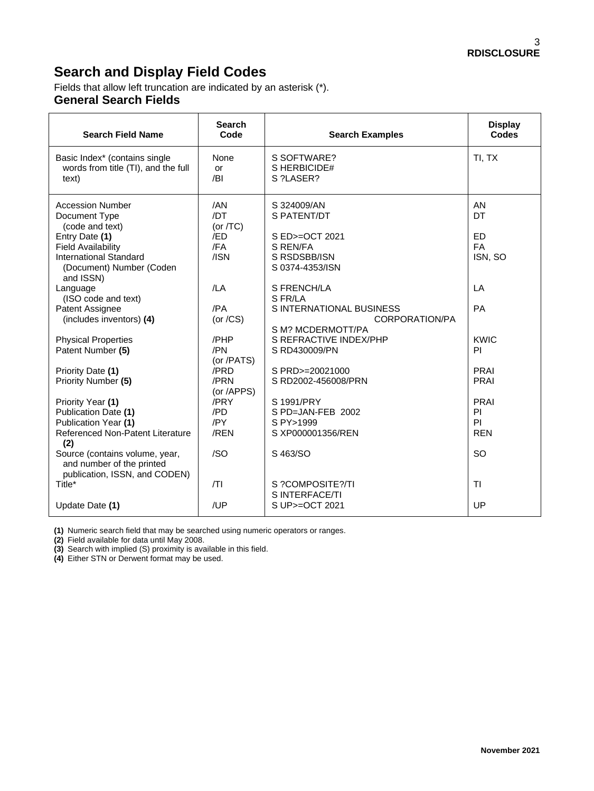## **Search and Display Field Codes**

Fields that allow left truncation are indicated by an asterisk (\*). **General Search Fields**

| <b>Search Field Name</b>                                                                                              | <b>Search</b><br>Code      | <b>Search Examples</b>                                          | <b>Display</b><br>Codes    |
|-----------------------------------------------------------------------------------------------------------------------|----------------------------|-----------------------------------------------------------------|----------------------------|
| Basic Index* (contains single<br>words from title (TI), and the full<br>text)                                         | None<br>or<br>/BI          | S SOFTWARE?<br>S HERBICIDE#<br>S ?LASER?                        | TI, TX                     |
| <b>Accession Number</b><br>Document Type<br>(code and text)                                                           | /AN<br>/DT<br>(or $/TC$ )  | S 324009/AN<br>S PATENT/DT                                      | AN<br>DT                   |
| Entry Date (1)<br><b>Field Availability</b><br><b>International Standard</b><br>(Document) Number (Coden<br>and ISSN) | /ED<br>/FA<br>/ISN         | S ED>=OCT 2021<br>S REN/FA<br>S RSDSBB/ISN<br>S 0374-4353/ISN   | ED<br><b>FA</b><br>ISN, SO |
| Language<br>(ISO code and text)                                                                                       | /LA                        | S FRENCH/LA<br>S FR/LA                                          | LA                         |
| Patent Assignee<br>(includes inventors) (4)                                                                           | /PA<br>(or $/CS$ )         | S INTERNATIONAL BUSINESS<br>CORPORATION/PA<br>S M? MCDERMOTT/PA | PA                         |
| <b>Physical Properties</b><br>Patent Number (5)                                                                       | /PHP<br>/PN<br>(or /PATS)  | S REFRACTIVE INDEX/PHP<br>S RD430009/PN                         | <b>KWIC</b><br>PI          |
| Priority Date (1)<br>Priority Number (5)                                                                              | /PRD<br>/PRN<br>(or /APPS) | S PRD>=20021000<br>S RD2002-456008/PRN                          | <b>PRAI</b><br>PRAI        |
| Priority Year (1)<br>Publication Date (1)<br>Publication Year (1)                                                     | /PRY<br>/PD<br>/PY         | S 1991/PRY<br>S PD=JAN-FEB 2002<br>S PY>1999                    | PRAI<br>PI<br>PI           |
| Referenced Non-Patent Literature<br>(2)                                                                               | /REN                       | S XP000001356/REN                                               | <b>REN</b>                 |
| Source (contains volume, year,<br>and number of the printed<br>publication, ISSN, and CODEN)                          | /SO                        | S 463/SO                                                        | SO                         |
| Title*                                                                                                                | T                          | S ?COMPOSITE?/TI<br>S INTERFACE/TI                              | TI.                        |
| Update Date (1)                                                                                                       | /UP                        | S UP>=OCT 2021                                                  | UP                         |

**(1)** Numeric search field that may be searched using numeric operators or ranges.

**(2)** Field available for data until May 2008.

**(3)** Search with implied (S) proximity is available in this field.

**(4)** Either STN or Derwent format may be used.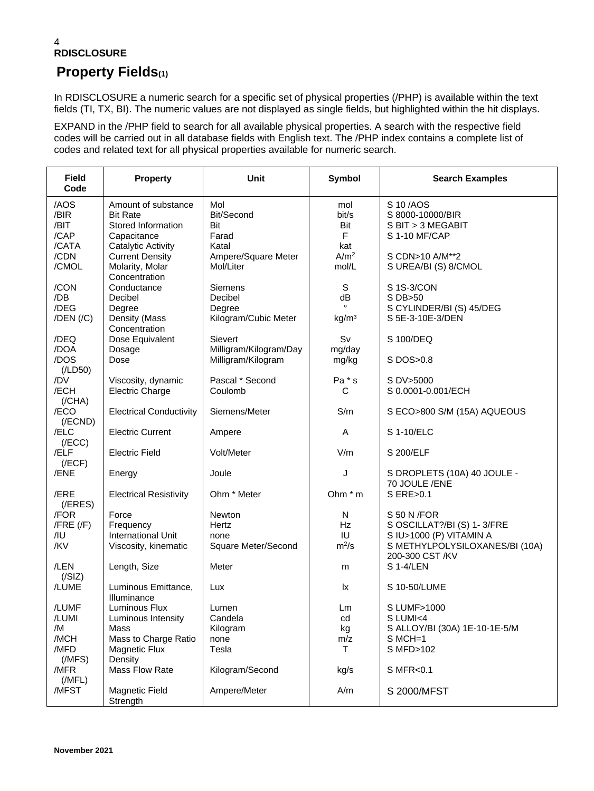#### 4 **RDISCLOSURE**

#### **Property Fields(1)**

In RDISCLOSURE a numeric search for a specific set of physical properties (/PHP) is available within the text fields (TI, TX, BI). The numeric values are not displayed as single fields, but highlighted within the hit displays.

EXPAND in the /PHP field to search for all available physical properties. A search with the respective field codes will be carried out in all database fields with English text. The /PHP index contains a complete list of codes and related text for all physical properties available for numeric search.

| <b>Field</b><br>Code                          | <b>Property</b>                                                                                 | <b>Unit</b>                                           | <b>Symbol</b>                    | <b>Search Examples</b>                                                                                  |
|-----------------------------------------------|-------------------------------------------------------------------------------------------------|-------------------------------------------------------|----------------------------------|---------------------------------------------------------------------------------------------------------|
| /AOS<br>/BIR<br>/BIT<br>/CAP                  | Amount of substance<br><b>Bit Rate</b><br>Stored Information<br>Capacitance                     | Mol<br>Bit/Second<br>Bit<br>Farad                     | mol<br>bit/s<br>Bit<br>F         | S 10/AOS<br>S 8000-10000/BIR<br>S BIT > 3 MEGABIT<br>S 1-10 MF/CAP                                      |
| /CATA<br>/CDN<br>/CMOL                        | <b>Catalytic Activity</b><br><b>Current Density</b><br>Molarity, Molar<br>Concentration         | Katal<br>Ampere/Square Meter<br>Mol/Liter             | kat<br>A/m <sup>2</sup><br>mol/L | S CDN>10 A/M**2<br>S UREA/BI (S) 8/CMOL                                                                 |
| /CON<br>/DB<br>/DEG<br>$/$ DEN $/$ $/$ C $)$  | Conductance<br>Decibel<br>Degree<br>Density (Mass                                               | Siemens<br>Decibel<br>Degree<br>Kilogram/Cubic Meter  | S<br>dB<br>kg/m <sup>3</sup>     | S 1S-3/CON<br>S DB>50<br>S CYLINDER/BI (S) 45/DEG<br>S 5E-3-10E-3/DEN                                   |
| /DEQ<br>/DOA                                  | Concentration<br>Dose Equivalent<br>Dosage                                                      | Sievert<br>Milligram/Kilogram/Day                     | Sv<br>mg/day                     | S 100/DEQ                                                                                               |
| /DOS<br>(ILD50)<br>/DV                        | Dose                                                                                            | Milligram/Kilogram<br>Pascal * Second                 | mg/kg<br>Pa * s                  | S DOS>0.8<br>S DV>5000                                                                                  |
| /ECH<br>(/CHA)                                | Viscosity, dynamic<br><b>Electric Charge</b>                                                    | Coulomb                                               | C                                | S 0.0001-0.001/ECH                                                                                      |
| /ECO<br>$($ /ECND $)$<br>/ELC                 | <b>Electrical Conductivity</b>                                                                  | Siemens/Meter                                         | S/m                              | S ECO>800 S/M (15A) AQUEOUS<br>S 1-10/ELC                                                               |
| (/ECC)<br>/ELF                                | <b>Electric Current</b><br><b>Electric Field</b>                                                | Ampere<br>Volt/Meter                                  | Α<br>V/m                         | S 200/ELF                                                                                               |
| (/ECF)<br>/ENE                                | Energy                                                                                          | Joule                                                 | J                                | S DROPLETS (10A) 40 JOULE -<br>70 JOULE /ENE                                                            |
| /ERE<br>$($ /ERES $)$                         | <b>Electrical Resistivity</b>                                                                   | Ohm * Meter                                           | Ohm $*$ m                        | S ERE>0.1                                                                                               |
| /FOR<br>$/$ FRE $($ /F $)$<br>/IU<br>/KV      | Force<br>Frequency<br><b>International Unit</b><br>Viscosity, kinematic                         | <b>Newton</b><br>Hertz<br>none<br>Square Meter/Second | N<br><b>Hz</b><br>IU<br>$m^2/s$  | S 50 N / FOR<br>S OSCILLAT?/BI (S) 1-3/FRE<br>S IU>1000 (P) VITAMIN A<br>S METHYLPOLYSILOXANES/BI (10A) |
| /LEN<br>(/SIZ)                                | Length, Size                                                                                    | Meter                                                 | m                                | 200-300 CST /KV<br>S 1-4/LEN                                                                            |
| /LUME                                         | Luminous Emittance,<br>Illuminance                                                              | Lux                                                   | lx                               | S 10-50/LUME                                                                                            |
| /LUMF<br>/LUMI<br>/M<br>/MCH<br>/MFD<br>(MFS) | Luminous Flux<br>Luminous Intensity<br>Mass<br>Mass to Charge Ratio<br>Magnetic Flux<br>Density | Lumen<br>Candela<br>Kilogram<br>none<br>Tesla         | Lm<br>cd<br>kg<br>m/z<br>T.      | S LUMF>1000<br>S LUMI<4<br>S ALLOY/BI (30A) 1E-10-1E-5/M<br>$S$ MCH=1<br>S MFD>102                      |
| /MFR<br>(MFL)                                 | Mass Flow Rate                                                                                  | Kilogram/Second                                       | kg/s                             | S MFR<0.1                                                                                               |
| /MFST                                         | Magnetic Field<br>Strength                                                                      | Ampere/Meter                                          | A/m                              | S 2000/MFST                                                                                             |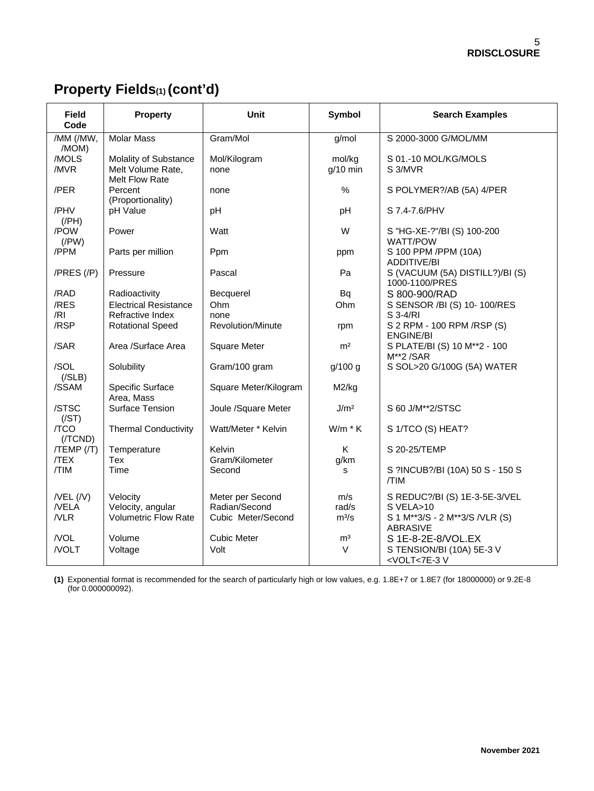# **Property Fields(1) (cont'd)**

| <b>Field</b><br>Code                | <b>Property</b>                                              | Unit                                                    | <b>Symbol</b>           | <b>Search Examples</b>                                                                          |
|-------------------------------------|--------------------------------------------------------------|---------------------------------------------------------|-------------------------|-------------------------------------------------------------------------------------------------|
| /MM (/MW,<br>/MOM)                  | <b>Molar Mass</b>                                            | Gram/Mol                                                | g/mol                   | S 2000-3000 G/MOL/MM                                                                            |
| /MOLS<br>/MVR                       | Molality of Substance<br>Melt Volume Rate,<br>Melt Flow Rate | Mol/Kilogram<br>none                                    | mol/kg<br>$g/10$ min    | S 01.-10 MOL/KG/MOLS<br>S 3/MVR                                                                 |
| /PER                                | Percent<br>(Proportionality)                                 | none                                                    | $\%$                    | S POLYMER?/AB (5A) 4/PER                                                                        |
| /PHV<br>$($ /PH $)$                 | pH Value                                                     | pH                                                      | pH                      | S 7.4-7.6/PHV                                                                                   |
| /POW<br>$($ /PW $)$                 | Power                                                        | Watt                                                    | W                       | S "HG-XE-?"/BI (S) 100-200<br><b>WATT/POW</b>                                                   |
| /PPM                                | Parts per million                                            | Ppm                                                     | ppm                     | S 100 PPM /PPM (10A)<br><b>ADDITIVE/BI</b>                                                      |
| $/PRES$ $//P)$                      | Pressure                                                     | Pascal                                                  | Pa                      | S (VACUUM (5A) DISTILL?)/BI (S)<br>1000-1100/PRES                                               |
| /RAD                                | Radioactivity                                                | Becquerel                                               | Bq                      | S 800-900/RAD                                                                                   |
| /RES                                | <b>Electrical Resistance</b>                                 | Ohm                                                     | Ohm                     | S SENSOR /BI (S) 10-100/RES                                                                     |
| /RI                                 | Refractive Index                                             | none                                                    |                         | S 3-4/RI                                                                                        |
| /RSP                                | <b>Rotational Speed</b>                                      | Revolution/Minute                                       | rpm                     | S 2 RPM - 100 RPM / RSP (S)<br><b>ENGINE/BI</b>                                                 |
| /SAR                                | Area /Surface Area                                           | <b>Square Meter</b>                                     | m <sup>2</sup>          | S PLATE/BI (S) 10 M**2 - 100<br>$M**2/SAR$                                                      |
| /SOL<br>$($ /SLB $)$                | Solubility                                                   | Gram/100 gram                                           | g/100 g                 | S SOL>20 G/100G (5A) WATER                                                                      |
| /SSAM                               | Specific Surface<br>Area, Mass                               | Square Meter/Kilogram                                   | M2/kg                   |                                                                                                 |
| /STSC<br>(/ST)                      | Surface Tension                                              | Joule /Square Meter                                     | J/m <sup>2</sup>        | S 60 J/M**2/STSC                                                                                |
| /TCO<br>(/TCND)                     | <b>Thermal Conductivity</b>                                  | Watt/Meter * Kelvin                                     | $W/m * K$               | S 1/TCO (S) HEAT?                                                                               |
| $/TEMP$ $/$<br>/TEX                 | Temperature<br>Tex                                           | Kelvin<br>Gram/Kilometer                                | Κ<br>g/km               | S 20-25/TEMP                                                                                    |
| /TIM                                | Time                                                         | Second                                                  | s                       | S ?INCUB?/BI (10A) 50 S - 150 S<br>/TIM                                                         |
| $/$ VEL $($ /V $)$<br>/VELA<br>/VLR | Velocity<br>Velocity, angular<br>Volumetric Flow Rate        | Meter per Second<br>Radian/Second<br>Cubic Meter/Second | m/s<br>rad/s<br>$m^3/s$ | S REDUC?/BI (S) 1E-3-5E-3/VEL<br>S VELA>10<br>S 1 M**3/S - 2 M**3/S /VLR (S)<br><b>ABRASIVE</b> |
| /VOL                                | Volume                                                       | <b>Cubic Meter</b>                                      | m <sup>3</sup>          | S 1E-8-2E-8/VOL.EX                                                                              |
| /VOLT                               | Voltage                                                      | Volt                                                    | $\vee$                  | S TENSION/BI (10A) 5E-3 V<br><volt<7e-3v< td=""></volt<7e-3v<>                                  |

**(1)** Exponential format is recommended for the search of particularly high or low values, e.g. 1.8E+7 or 1.8E7 (for 18000000) or 9.2E-8 (for 0.000000092).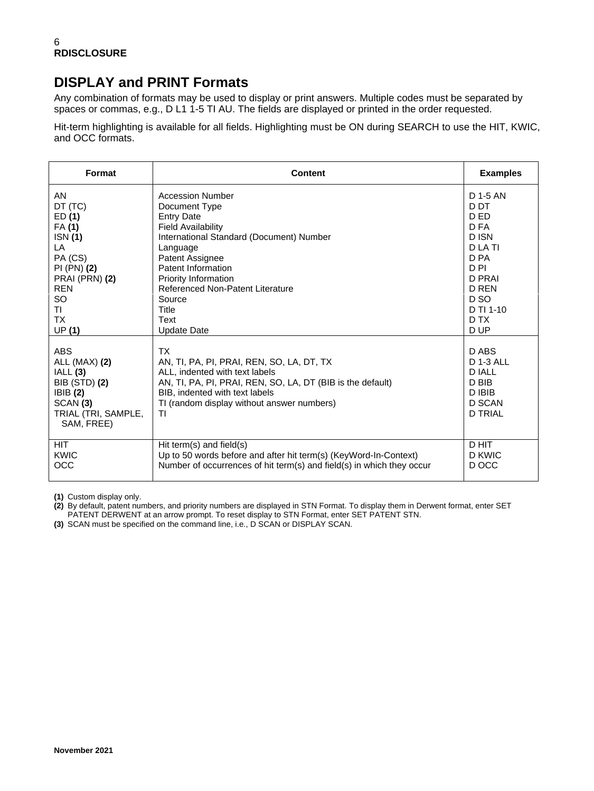## **DISPLAY and PRINT Formats**

Any combination of formats may be used to display or print answers. Multiple codes must be separated by spaces or commas, e.g., D L1 1-5 TI AU. The fields are displayed or printed in the order requested.

Hit-term highlighting is available for all fields. Highlighting must be ON during SEARCH to use the HIT, KWIC, and OCC formats.

| <b>Format</b>                                                                                                              | <b>Content</b>                                                                                                                                                                                                                               | <b>Examples</b>                                                                          |
|----------------------------------------------------------------------------------------------------------------------------|----------------------------------------------------------------------------------------------------------------------------------------------------------------------------------------------------------------------------------------------|------------------------------------------------------------------------------------------|
| AN                                                                                                                         | <b>Accession Number</b>                                                                                                                                                                                                                      | D 1-5 AN                                                                                 |
| DT (TC)                                                                                                                    | Document Type                                                                                                                                                                                                                                | D DT                                                                                     |
| ED(1)                                                                                                                      | <b>Entry Date</b>                                                                                                                                                                                                                            | D ED                                                                                     |
| FA(1)                                                                                                                      | <b>Field Availability</b>                                                                                                                                                                                                                    | D FA                                                                                     |
| <b>ISN</b> (1)                                                                                                             | International Standard (Document) Number                                                                                                                                                                                                     | D ISN                                                                                    |
| LA                                                                                                                         | Language                                                                                                                                                                                                                                     | D LA TI                                                                                  |
| PA (CS)                                                                                                                    | Patent Assignee                                                                                                                                                                                                                              | D PA                                                                                     |
| $PI(PN)$ $(2)$                                                                                                             | Patent Information                                                                                                                                                                                                                           | D PI                                                                                     |
| PRAI (PRN) (2)                                                                                                             | Priority Information                                                                                                                                                                                                                         | D PRAI                                                                                   |
| <b>REN</b>                                                                                                                 | Referenced Non-Patent Literature                                                                                                                                                                                                             | D REN                                                                                    |
| SO                                                                                                                         | Source                                                                                                                                                                                                                                       | D <sub>SO</sub>                                                                          |
| ΤI                                                                                                                         | Title                                                                                                                                                                                                                                        | D TI 1-10                                                                                |
| <b>TX</b>                                                                                                                  | Text                                                                                                                                                                                                                                         | D TX                                                                                     |
| UP(1)                                                                                                                      | <b>Update Date</b>                                                                                                                                                                                                                           | D UP                                                                                     |
| <b>ABS</b><br>ALL (MAX) (2)<br>IALL(3)<br><b>BIB (STD) (2)</b><br>IBIB(2)<br>SCAN (3)<br>TRIAL (TRI, SAMPLE,<br>SAM, FREE) | <b>TX</b><br>AN, TI, PA, PI, PRAI, REN, SO, LA, DT, TX<br>ALL, indented with text labels<br>AN, TI, PA, PI, PRAI, REN, SO, LA, DT (BIB is the default)<br>BIB, indented with text labels<br>TI (random display without answer numbers)<br>ΤI | D ABS<br><b>D 1-3 ALL</b><br><b>DIALL</b><br>D BIB<br>D IBIB<br>D SCAN<br><b>D TRIAL</b> |
| <b>HIT</b>                                                                                                                 | Hit term(s) and field(s)                                                                                                                                                                                                                     | D HIT                                                                                    |
| <b>KWIC</b>                                                                                                                | Up to 50 words before and after hit term(s) (KeyWord-In-Context)                                                                                                                                                                             | D KWIC                                                                                   |
| OCC                                                                                                                        | Number of occurrences of hit term(s) and field(s) in which they occur                                                                                                                                                                        | D OCC                                                                                    |

**(1)** Custom display only.

**(2)** By default, patent numbers, and priority numbers are displayed in STN Format. To display them in Derwent format, enter SET PATENT DERWENT at an arrow prompt. To reset display to STN Format, enter SET PATENT STN.

**(3)** SCAN must be specified on the command line, i.e., D SCAN or DISPLAY SCAN.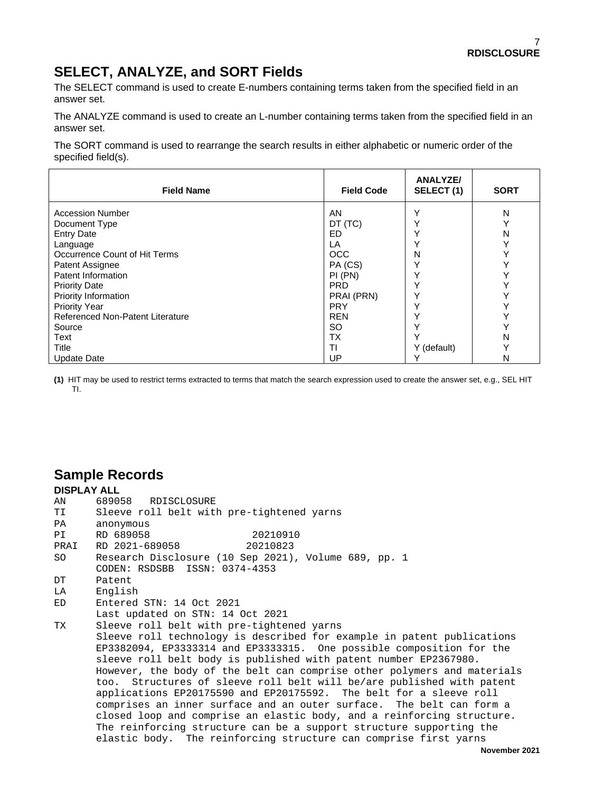## **SELECT, ANALYZE, and SORT Fields**

The SELECT command is used to create E-numbers containing terms taken from the specified field in an answer set.

The ANALYZE command is used to create an L-number containing terms taken from the specified field in an answer set.

The SORT command is used to rearrange the search results in either alphabetic or numeric order of the specified field(s).

| <b>Field Name</b>                | <b>Field Code</b> | <b>ANALYZE/</b><br>SELECT (1) | <b>SORT</b> |
|----------------------------------|-------------------|-------------------------------|-------------|
| <b>Accession Number</b>          | AN                |                               | N           |
| Document Type                    | DT (TC)           |                               |             |
| <b>Entry Date</b>                | ED.               |                               | N           |
| Language                         | LA                |                               |             |
| Occurrence Count of Hit Terms    | <b>OCC</b>        | N                             |             |
| Patent Assignee                  | PA (CS)           |                               |             |
| Patent Information               | PI(PN)            |                               |             |
| <b>Priority Date</b>             | <b>PRD</b>        |                               |             |
| Priority Information             | PRAI (PRN)        |                               |             |
| <b>Priority Year</b>             | <b>PRY</b>        |                               |             |
| Referenced Non-Patent Literature | <b>REN</b>        |                               |             |
| Source                           | SO                |                               |             |
| Text                             | ТX                |                               | N           |
| Title                            | ΤI                | Y (default)                   | v           |
| <b>Update Date</b>               | UP                |                               | N           |

**(1)** HIT may be used to restrict terms extracted to terms that match the search expression used to create the answer set, e.g., SEL HIT TI.

#### **Sample Records**

| <b>DISPLAY ALL</b> |                                                                         |
|--------------------|-------------------------------------------------------------------------|
| AN                 | 689058 RDISCLOSURE                                                      |
| TI                 | Sleeve roll belt with pre-tightened yarns                               |
| PA                 | anonymous                                                               |
| PI                 | RD 689058<br>20210910                                                   |
| PRAI               | RD 2021-689058<br>20210823                                              |
| SO                 | Research Disclosure (10 Sep 2021), Volume 689, pp. 1                    |
|                    | CODEN: RSDSBB ISSN: 0374-4353                                           |
| DT                 | Patent                                                                  |
| LA                 | English                                                                 |
| ED                 | Entered STN: 14 Oct 2021                                                |
|                    | Last updated on STN: 14 Oct 2021                                        |
| TX                 | Sleeve roll belt with pre-tightened yarns                               |
|                    | Sleeve roll technology is described for example in patent publications  |
|                    | EP3382094, EP3333314 and EP3333315. One possible composition for the    |
|                    | sleeve roll belt body is published with patent number EP2367980.        |
|                    | However, the body of the belt can comprise other polymers and materials |
|                    | too. Structures of sleeve roll belt will be/are published with patent   |
|                    | applications EP20175590 and EP20175592. The belt for a sleeve roll      |
|                    | comprises an inner surface and an outer surface. The belt can form a    |
|                    | closed loop and comprise an elastic body, and a reinforcing structure.  |
|                    | The reinforcing structure can be a support structure supporting the     |
|                    | elastic body. The reinforcing structure can comprise first yarns        |